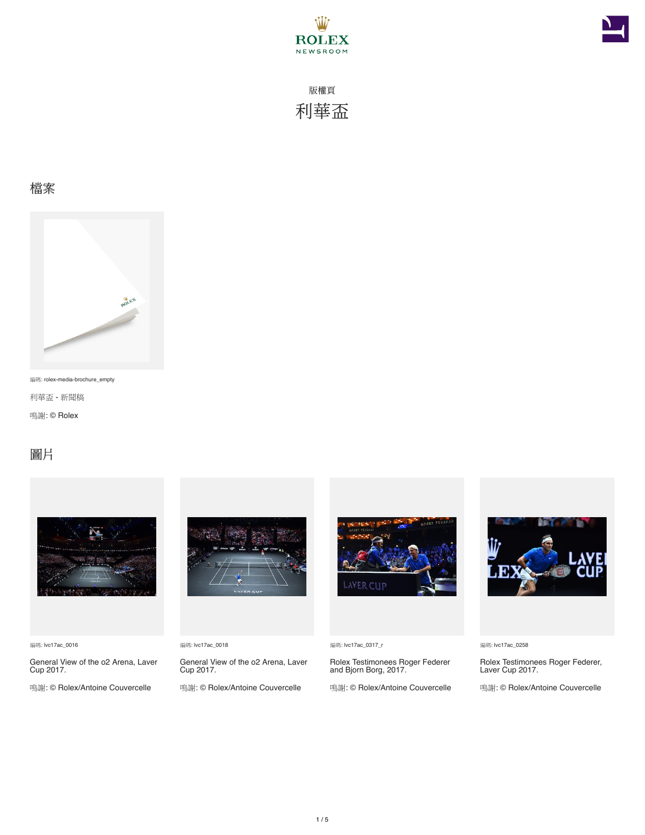



#### 檔案



編碼: rolex-media-brochure\_empty

利華盃 - 新聞稿

鳴謝: © Rolex

### 圖片



編碼: lvc17ac\_0016

General View of the o2 Arena, Laver Cup 2017.

鳴謝: © Rolex/Antoine Couvercelle



編碼: lvc17ac\_0018

General View of the o2 Arena, Laver Cup 2017.

鳴謝: © Rolex/Antoine Couvercelle



編碼: lvc17ac\_0317\_r

Rolex Testimonees Roger Federer and Bjorn Borg, 2017.

鳴謝: © Rolex/Antoine Couvercelle



編碼: lvc17ac\_0258

Rolex Testimonees Roger Federer, Laver Cup 2017.

鳴謝: © Rolex/Antoine Couvercelle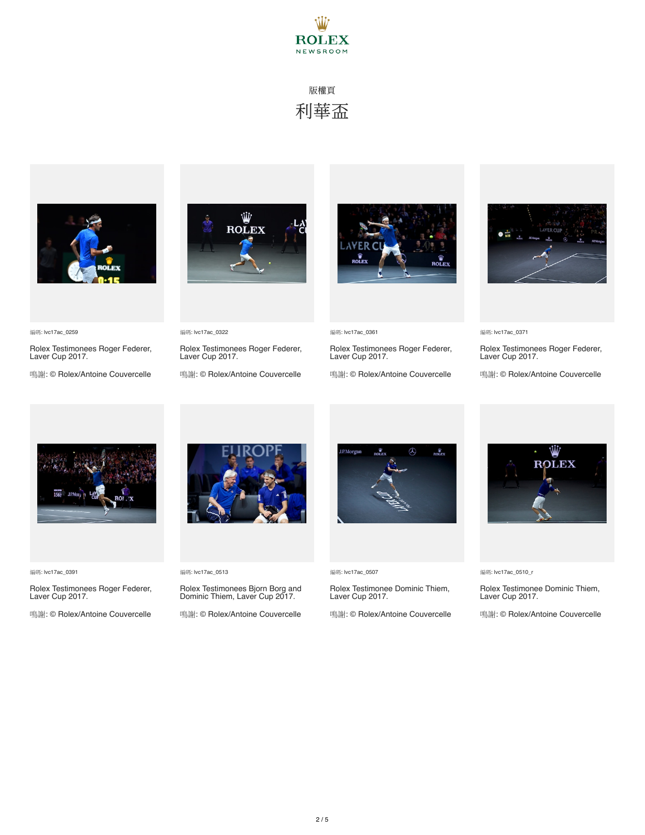



Rolex Testimonees Roger Federer, Laver Cup 2017. 鳴謝: © Rolex/Antoine Couvercelle



Rolex Testimonees Roger Federer, Laver Cup 2017. 鳴謝: © Rolex/Antoine Couvercelle



編碼: lvc17ac\_0361

Rolex Testimonees Roger Federer, Laver Cup 2017.

鳴謝: © Rolex/Antoine Couvercelle



編碼: lvc17ac\_0371

Rolex Testimonees Roger Federer, Laver Cup 2017.

鳴謝: © Rolex/Antoine Couvercelle



編碼: lvc17ac\_0391

編碼: lvc17ac\_0259

Rolex Testimonees Roger Federer, Laver Cup 2017.

鳴謝: © Rolex/Antoine Couvercelle



編碼: lvc17ac\_0513

編碼: lvc17ac\_0322

Rolex Testimonees Bjorn Borg and Dominic Thiem, Laver Cup 2017.

鳴謝: © Rolex/Antoine Couvercelle



編碼: lvc17ac\_0507

Rolex Testimonee Dominic Thiem, Laver Cup 2017.

鳴謝: © Rolex/Antoine Couvercelle



編碼: lvc17ac\_0510\_r

Rolex Testimonee Dominic Thiem, Laver Cup 2017.

鳴謝: © Rolex/Antoine Couvercelle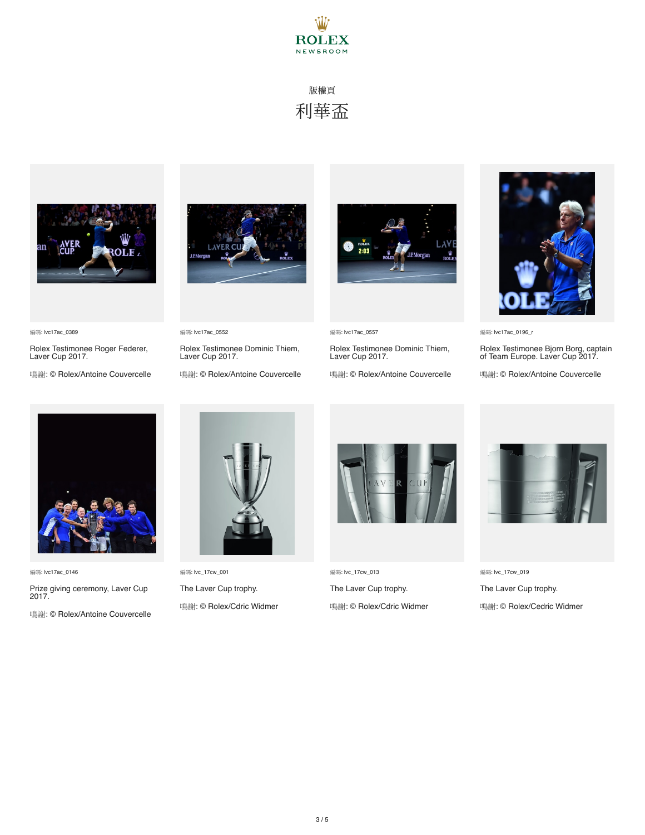



Rolex Testimonee Roger Federer, Laver Cup 2017. 鳴謝: © Rolex/Antoine Couvercelle



Rolex Testimonee Dominic Thiem, Laver Cup 2017. 鳴謝: © Rolex/Antoine Couvercelle

編碼: lvc17ac\_0552



編碼: lvc17ac\_0557

Rolex Testimonee Dominic Thiem, Laver Cup 2017.

鳴謝: © Rolex/Antoine Couvercelle



編碼: lvc17ac\_0196\_r

Rolex Testimonee Bjorn Borg, captain of Team Europe. Laver Cup 2017.

鳴謝: © Rolex/Antoine Couvercelle



編碼: lvc17ac\_0146

編碼: lvc17ac\_0389

Prize giving ceremony, Laver Cup 2017.

鳴謝: © Rolex/Antoine Couvercelle



編碼: lvc\_17cw\_001 The Laver Cup trophy. 鳴謝: © Rolex/Cdric Widmer



編碼: lvc\_17cw\_013 The Laver Cup trophy. 鳴謝: © Rolex/Cdric Widmer



編碼: lvc\_17cw\_019 The Laver Cup trophy. 鳴謝: © Rolex/Cedric Widmer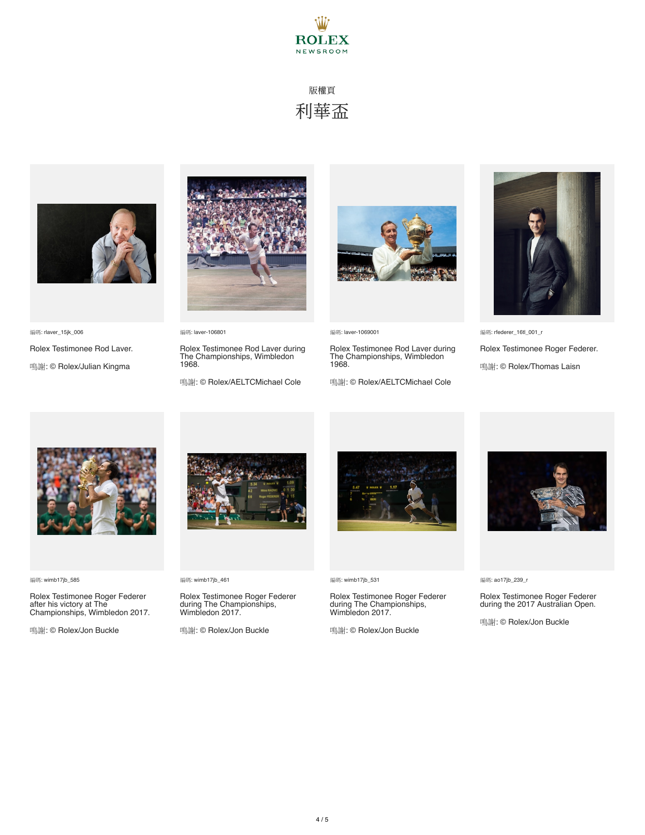



編碼: rlaver\_15jk\_006

Rolex Testimonee Rod Laver.

鳴謝: © Rolex/Julian Kingma



編碼: laver-106801

Rolex Testimonee Rod Laver during The Championships, Wimbledon 1968.

鳴謝: © Rolex/AELTCMichael Cole



編碼: laver-1069001

Rolex Testimonee Rod Laver during The Championships, Wimbledon 1968.

鳴謝: © Rolex/AELTCMichael Cole



編碼: rfederer\_16tl\_001\_r

Rolex Testimonee Roger Federer. 鳴謝: © Rolex/Thomas Laisn



編碼: wimb17jb\_585

Rolex Testimonee Roger Federer after his victory at The Championships, Wimbledon 2017.

鳴謝: © Rolex/Jon Buckle



編碼: wimb17jb\_461

Rolex Testimonee Roger Federer during The Championships, Wimbledon 2017.

鳴謝: © Rolex/Jon Buckle



編碼: wimb17jb\_531

Rolex Testimonee Roger Federer during The Championships, Wimbledon 2017.

鳴謝: © Rolex/Jon Buckle



編碼: ao17jb\_239\_r

Rolex Testimonee Roger Federer during the 2017 Australian Open.

鳴謝: © Rolex/Jon Buckle